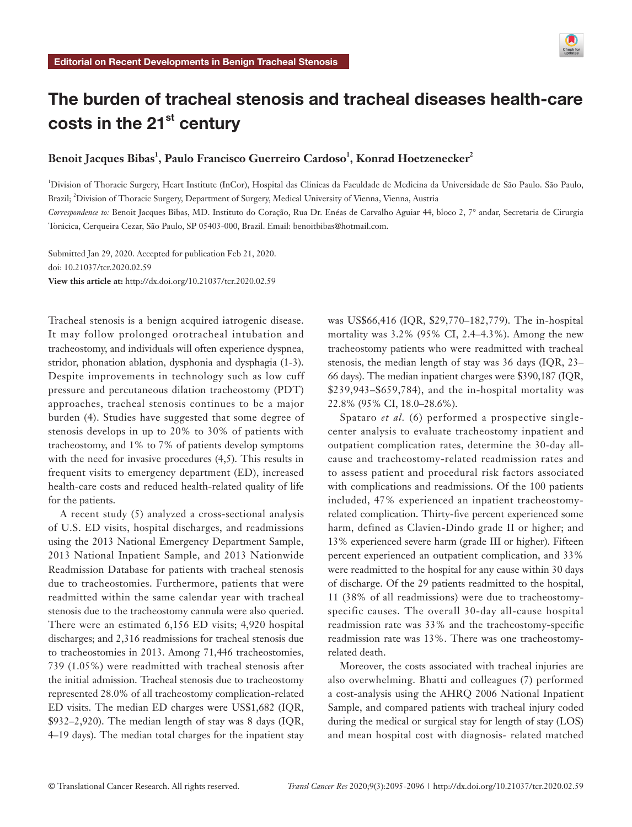

# The burden of tracheal stenosis and tracheal diseases health-care costs in the  $21<sup>st</sup>$  century

# Benoit Jacques Bibas<sup>1</sup>, Paulo Francisco Guerreiro Cardoso<sup>1</sup>, Konrad Hoetzenecker<sup>2</sup>

1 Division of Thoracic Surgery, Heart Institute (InCor), Hospital das Clinicas da Faculdade de Medicina da Universidade de São Paulo. São Paulo, Brazil; <sup>2</sup>Division of Thoracic Surgery, Department of Surgery, Medical University of Vienna, Vienna, Austria

*Correspondence to:* Benoit Jacques Bibas, MD. Instituto do Coração, Rua Dr. Enéas de Carvalho Aguiar 44, bloco 2, 7° andar, Secretaria de Cirurgia Torácica, Cerqueira Cezar, São Paulo, SP 05403-000, Brazil. Email: benoitbibas@hotmail.com.

Submitted Jan 29, 2020. Accepted for publication Feb 21, 2020. doi: 10.21037/tcr.2020.02.59 **View this article at:** http://dx.doi.org/10.21037/tcr.2020.02.59

Tracheal stenosis is a benign acquired iatrogenic disease. It may follow prolonged orotracheal intubation and tracheostomy, and individuals will often experience dyspnea, stridor, phonation ablation, dysphonia and dysphagia (1-3). Despite improvements in technology such as low cuff pressure and percutaneous dilation tracheostomy (PDT) approaches, tracheal stenosis continues to be a major burden (4). Studies have suggested that some degree of stenosis develops in up to 20% to 30% of patients with tracheostomy, and 1% to 7% of patients develop symptoms with the need for invasive procedures  $(4,5)$ . This results in frequent visits to emergency department (ED), increased health-care costs and reduced health-related quality of life for the patients.

A recent study (5) analyzed a cross-sectional analysis of U.S. ED visits, hospital discharges, and readmissions using the 2013 National Emergency Department Sample, 2013 National Inpatient Sample, and 2013 Nationwide Readmission Database for patients with tracheal stenosis due to tracheostomies. Furthermore, patients that were readmitted within the same calendar year with tracheal stenosis due to the tracheostomy cannula were also queried. There were an estimated 6,156 ED visits; 4,920 hospital discharges; and 2,316 readmissions for tracheal stenosis due to tracheostomies in 2013. Among 71,446 tracheostomies, 739 (1.05%) were readmitted with tracheal stenosis after the initial admission. Tracheal stenosis due to tracheostomy represented 28.0% of all tracheostomy complication-related ED visits. The median ED charges were US\$1,682 (IQR, \$932–2,920). The median length of stay was 8 days (IQR, 4–19 days). The median total charges for the inpatient stay was US\$66,416 (IQR, \$29,770–182,779). The in-hospital mortality was 3.2% (95% CI, 2.4–4.3%). Among the new tracheostomy patients who were readmitted with tracheal stenosis, the median length of stay was 36 days (IQR, 23– 66 days). The median inpatient charges were \$390,187 (IQR, \$239,943–\$659,784), and the in-hospital mortality was 22.8% (95% CI, 18.0–28.6%).

Spataro *et al.* (6) performed a prospective singlecenter analysis to evaluate tracheostomy inpatient and outpatient complication rates, determine the 30-day allcause and tracheostomy-related readmission rates and to assess patient and procedural risk factors associated with complications and readmissions. Of the 100 patients included, 47% experienced an inpatient tracheostomyrelated complication. Thirty-five percent experienced some harm, defined as Clavien-Dindo grade II or higher; and 13% experienced severe harm (grade III or higher). Fifteen percent experienced an outpatient complication, and 33% were readmitted to the hospital for any cause within 30 days of discharge. Of the 29 patients readmitted to the hospital, 11 (38% of all readmissions) were due to tracheostomyspecific causes. The overall 30-day all-cause hospital readmission rate was 33% and the tracheostomy-specific readmission rate was 13%. There was one tracheostomyrelated death.

Moreover, the costs associated with tracheal injuries are also overwhelming. Bhatti and colleagues (7) performed a cost-analysis using the AHRQ 2006 National Inpatient Sample, and compared patients with tracheal injury coded during the medical or surgical stay for length of stay (LOS) and mean hospital cost with diagnosis- related matched